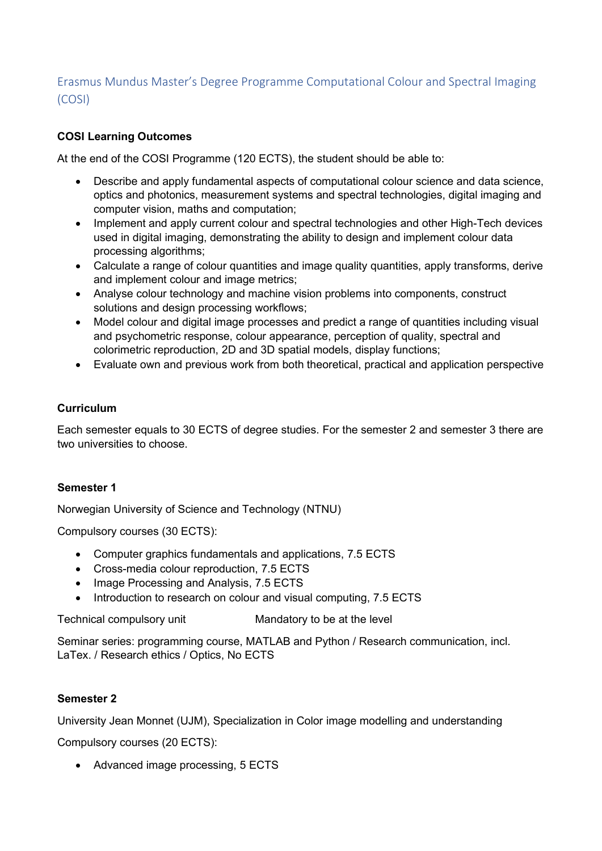# Erasmus Mundus Master's Degree Programme Computational Colour and Spectral Imaging (COSI)

# **COSI Learning Outcomes**

At the end of the COSI Programme (120 ECTS), the student should be able to:

- Describe and apply fundamental aspects of computational colour science and data science, optics and photonics, measurement systems and spectral technologies, digital imaging and computer vision, maths and computation;
- Implement and apply current colour and spectral technologies and other High-Tech devices used in digital imaging, demonstrating the ability to design and implement colour data processing algorithms;
- Calculate a range of colour quantities and image quality quantities, apply transforms, derive and implement colour and image metrics;
- Analyse colour technology and machine vision problems into components, construct solutions and design processing workflows;
- Model colour and digital image processes and predict a range of quantities including visual and psychometric response, colour appearance, perception of quality, spectral and colorimetric reproduction, 2D and 3D spatial models, display functions;
- Evaluate own and previous work from both theoretical, practical and application perspective

### **Curriculum**

Each semester equals to 30 ECTS of degree studies. For the semester 2 and semester 3 there are two universities to choose.

### **Semester 1**

Norwegian University of Science and Technology (NTNU)

Compulsory courses (30 ECTS):

- Computer graphics fundamentals and applications, 7.5 ECTS
- Cross-media colour reproduction, 7.5 ECTS
- Image Processing and Analysis, 7.5 ECTS
- Introduction to research on colour and visual computing, 7.5 ECTS

Technical compulsory unit Mandatory to be at the level

Seminar series: programming course, MATLAB and Python / Research communication, incl. LaTex. / Research ethics / Optics, No ECTS

# **Semester 2**

University Jean Monnet (UJM), Specialization in Color image modelling and understanding

Compulsory courses (20 ECTS):

• Advanced image processing, 5 ECTS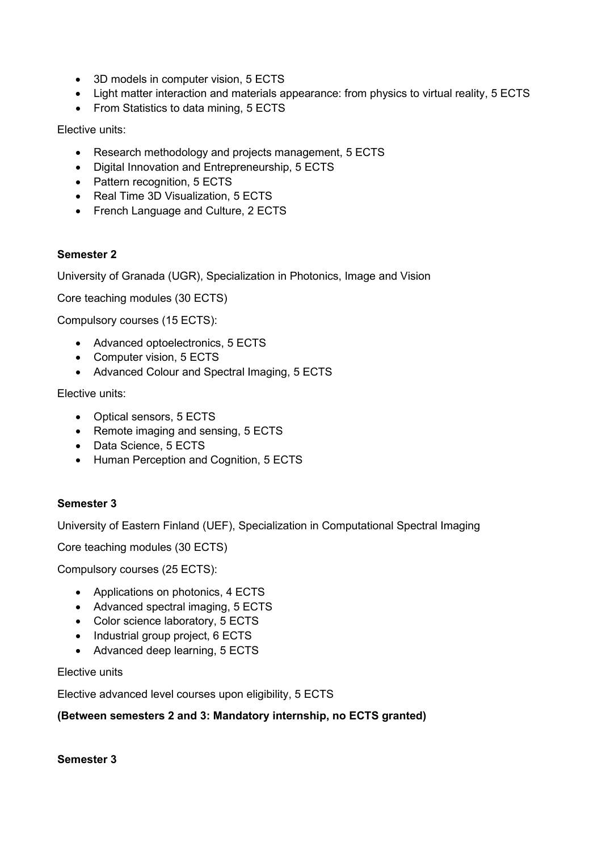- 3D models in computer vision, 5 ECTS
- Light matter interaction and materials appearance: from physics to virtual reality, 5 ECTS
- From Statistics to data mining, 5 ECTS

Elective units:

- Research methodology and projects management, 5 ECTS
- Digital Innovation and Entrepreneurship, 5 ECTS
- Pattern recognition, 5 ECTS
- Real Time 3D Visualization, 5 ECTS
- French Language and Culture, 2 ECTS

### **Semester 2**

University of Granada (UGR), Specialization in Photonics, Image and Vision

Core teaching modules (30 ECTS)

Compulsory courses (15 ECTS):

- Advanced optoelectronics, 5 ECTS
- Computer vision, 5 ECTS
- Advanced Colour and Spectral Imaging, 5 ECTS

Elective units:

- Optical sensors, 5 ECTS
- Remote imaging and sensing, 5 ECTS
- Data Science, 5 ECTS
- Human Perception and Cognition, 5 ECTS

### **Semester 3**

University of Eastern Finland (UEF), Specialization in Computational Spectral Imaging

Core teaching modules (30 ECTS)

Compulsory courses (25 ECTS):

- Applications on photonics, 4 ECTS
- Advanced spectral imaging, 5 ECTS
- Color science laboratory, 5 ECTS
- Industrial group project, 6 ECTS
- Advanced deep learning, 5 ECTS

Elective units

Elective advanced level courses upon eligibility, 5 ECTS

### **(Between semesters 2 and 3: Mandatory internship, no ECTS granted)**

**Semester 3**